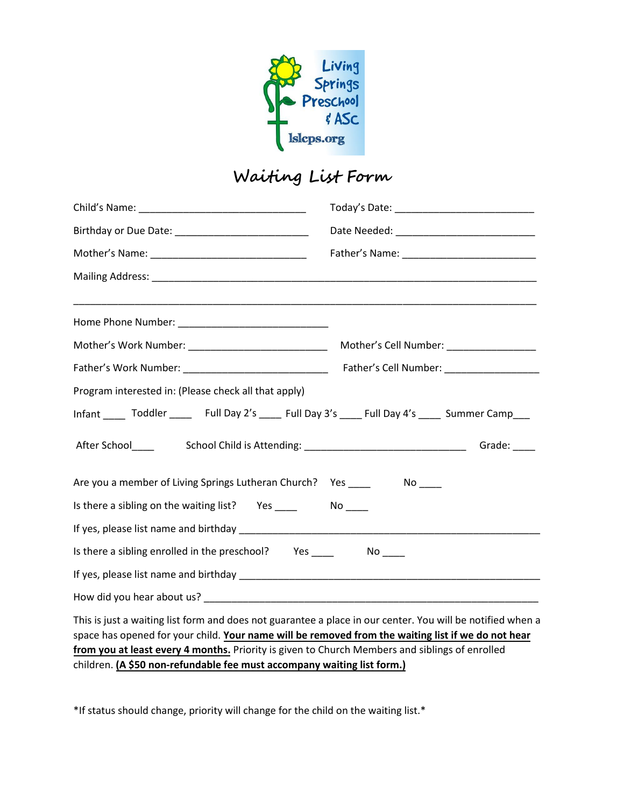

|                                                                                                                                                                                                                                                                                                                                                                                               | Mother's Cell Number: __________________ |  |
|-----------------------------------------------------------------------------------------------------------------------------------------------------------------------------------------------------------------------------------------------------------------------------------------------------------------------------------------------------------------------------------------------|------------------------------------------|--|
|                                                                                                                                                                                                                                                                                                                                                                                               |                                          |  |
| Program interested in: (Please check all that apply)                                                                                                                                                                                                                                                                                                                                          |                                          |  |
|                                                                                                                                                                                                                                                                                                                                                                                               |                                          |  |
|                                                                                                                                                                                                                                                                                                                                                                                               |                                          |  |
| Are you a member of Living Springs Lutheran Church? Yes ____                                                                                                                                                                                                                                                                                                                                  | $N$ o $\rule{1em}{0.15mm}$               |  |
|                                                                                                                                                                                                                                                                                                                                                                                               |                                          |  |
|                                                                                                                                                                                                                                                                                                                                                                                               |                                          |  |
| Is there a sibling enrolled in the preschool? Yes _______________________________                                                                                                                                                                                                                                                                                                             |                                          |  |
|                                                                                                                                                                                                                                                                                                                                                                                               |                                          |  |
|                                                                                                                                                                                                                                                                                                                                                                                               |                                          |  |
| This is just a waiting list form and does not guarantee a place in our center. You will be notified when a<br>space has opened for your child. Your name will be removed from the waiting list if we do not hear<br>from you at least every 4 months. Priority is given to Church Members and siblings of enrolled<br>children. (A \$50 non-refundable fee must accompany waiting list form.) |                                          |  |

\*If status should change, priority will change for the child on the waiting list.\*